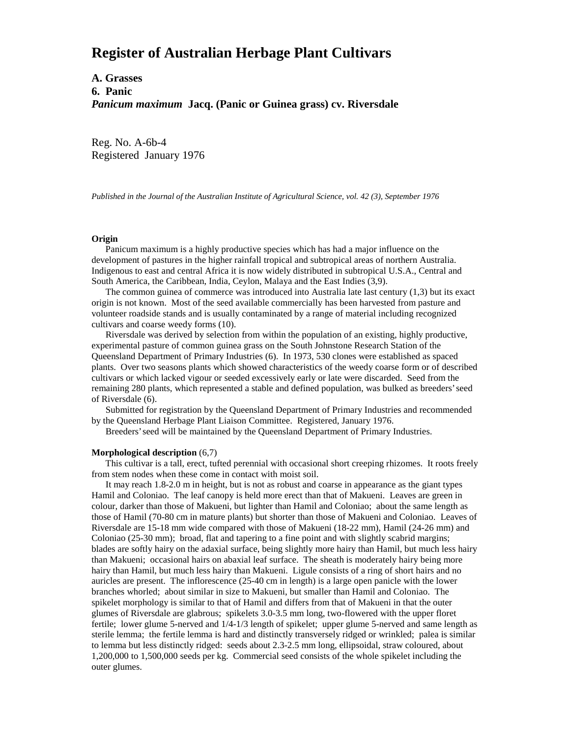# **Register of Australian Herbage Plant Cultivars**

**A. Grasses 6. Panic** *Panicum maximum* **Jacq. (Panic or Guinea grass) cv. Riversdale**

Reg. No. A-6b-4 Registered January 1976

*Published in the Journal of the Australian Institute of Agricultural Science, vol. 42 (3), September 1976*

#### **Origin**

 Panicum maximum is a highly productive species which has had a major influence on the development of pastures in the higher rainfall tropical and subtropical areas of northern Australia. Indigenous to east and central Africa it is now widely distributed in subtropical U.S.A., Central and South America, the Caribbean, India, Ceylon, Malaya and the East Indies (3,9).

 The common guinea of commerce was introduced into Australia late last century (1,3) but its exact origin is not known. Most of the seed available commercially has been harvested from pasture and volunteer roadside stands and is usually contaminated by a range of material including recognized cultivars and coarse weedy forms (10).

 Riversdale was derived by selection from within the population of an existing, highly productive, experimental pasture of common guinea grass on the South Johnstone Research Station of the Queensland Department of Primary Industries (6). In 1973, 530 clones were established as spaced plants. Over two seasons plants which showed characteristics of the weedy coarse form or of described cultivars or which lacked vigour or seeded excessively early or late were discarded. Seed from the remaining 280 plants, which represented a stable and defined population, was bulked as breeders' seed of Riversdale (6).

 Submitted for registration by the Queensland Department of Primary Industries and recommended by the Queensland Herbage Plant Liaison Committee. Registered, January 1976.

Breeders' seed will be maintained by the Queensland Department of Primary Industries.

## **Morphological description** (6,7)

 This cultivar is a tall, erect, tufted perennial with occasional short creeping rhizomes. It roots freely from stem nodes when these come in contact with moist soil.

 It may reach 1.8-2.0 m in height, but is not as robust and coarse in appearance as the giant types Hamil and Coloniao. The leaf canopy is held more erect than that of Makueni. Leaves are green in colour, darker than those of Makueni, but lighter than Hamil and Coloniao; about the same length as those of Hamil (70-80 cm in mature plants) but shorter than those of Makueni and Coloniao. Leaves of Riversdale are 15-18 mm wide compared with those of Makueni (18-22 mm), Hamil (24-26 mm) and Coloniao (25-30 mm); broad, flat and tapering to a fine point and with slightly scabrid margins; blades are softly hairy on the adaxial surface, being slightly more hairy than Hamil, but much less hairy than Makueni; occasional hairs on abaxial leaf surface. The sheath is moderately hairy being more hairy than Hamil, but much less hairy than Makueni. Ligule consists of a ring of short hairs and no auricles are present. The inflorescence (25-40 cm in length) is a large open panicle with the lower branches whorled; about similar in size to Makueni, but smaller than Hamil and Coloniao. The spikelet morphology is similar to that of Hamil and differs from that of Makueni in that the outer glumes of Riversdale are glabrous; spikelets 3.0-3.5 mm long, two-flowered with the upper floret fertile; lower glume 5-nerved and 1/4-1/3 length of spikelet; upper glume 5-nerved and same length as sterile lemma; the fertile lemma is hard and distinctly transversely ridged or wrinkled; palea is similar to lemma but less distinctly ridged: seeds about 2.3-2.5 mm long, ellipsoidal, straw coloured, about 1,200,000 to 1,500,000 seeds per kg. Commercial seed consists of the whole spikelet including the outer glumes.